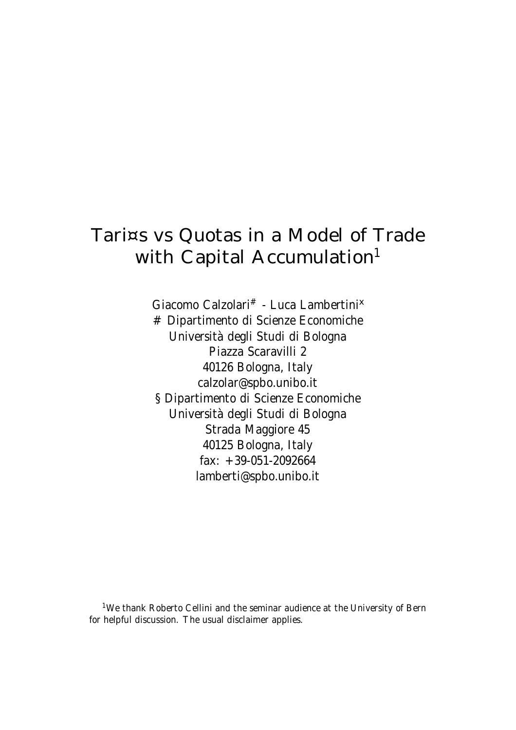# Tari¤s vs Quotas in a Model of Trade with Capital Accumulation<sup>1</sup>

Giacomo Calzolari<sup>#</sup> - Luca Lambertini<sup>x</sup> # Dipartimento di Scienze Economiche Università degli Studi di Bologna Piazza Scaravilli 2 40126 Bologna, Italy calzolar@spbo.unibo.it § Dipartimento di Scienze Economiche Università degli Studi di Bologna Strada Maggiore 45 40125 Bologna, Italy fax: +39-051-2092664 lamberti@spbo.unibo.it

<sup>1</sup>We thank Roberto Cellini and the seminar audience at the University of Bern for helpful discussion. The usual disclaimer applies.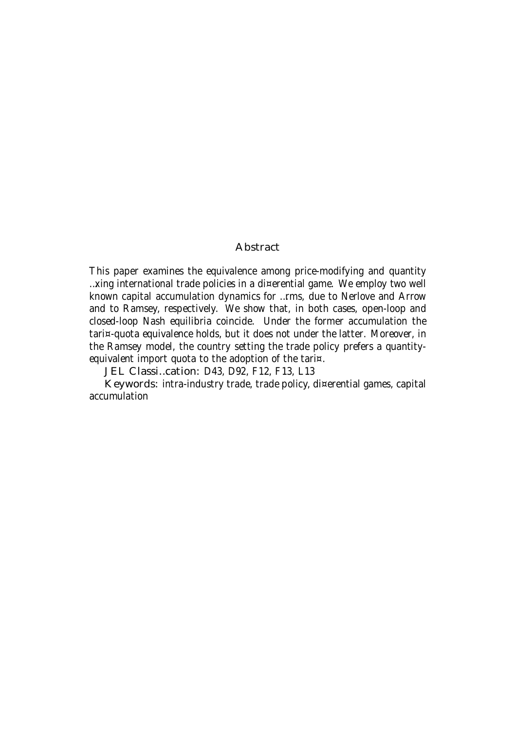#### Abstract

This paper examines the equivalence among price-modifying and quantity …xing international trade policies in a di¤erential game. We employ two well known capital accumulation dynamics for …rms, due to Nerlove and Arrow and to Ramsey, respectively. We show that, in both cases, open-loop and closed-loop Nash equilibria coincide. Under the former accumulation the tari¤-quota equivalence holds, but it does not under the latter. Moreover, in the Ramsey model, the country setting the trade policy prefers a quantityequivalent import quota to the adoption of the tari¤.

JEL Classi…cation: D43, D92, F12, F13, L13

Keywords: intra-industry trade, trade policy, di¤erential games, capital accumulation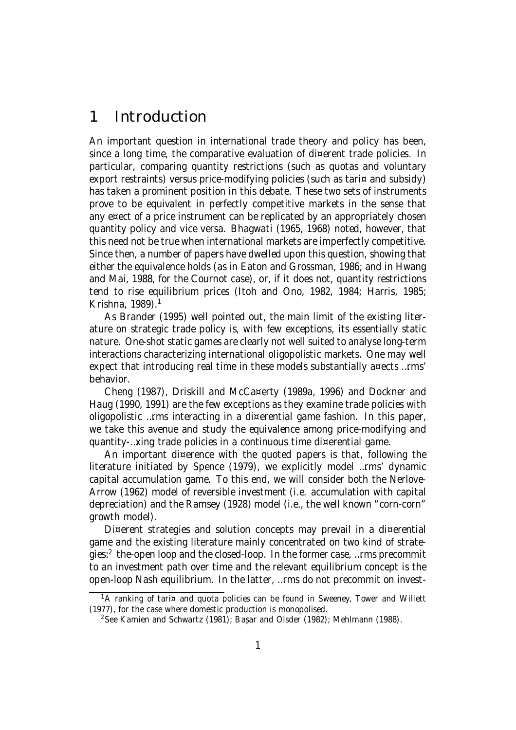## 1 Introduction

An important question in international trade theory and policy has been, since a long time, the comparative evaluation of di¤erent trade policies. In particular, comparing quantity restrictions (such as quotas and voluntary export restraints) versus price-modifying policies (such as tari¤ and subsidy) has taken a prominent position in this debate. These two sets of instruments prove to be equivalent in perfectly competitive markets in the sense that any e¤ect of a price instrument can be replicated by an appropriately chosen quantity policy and vice versa. Bhagwati (1965, 1968) noted, however, that this need not be true when international markets are imperfectly competitive. Since then, a number of papers have dwelled upon this question, showing that either the equivalence holds (as in Eaton and Grossman, 1986; and in Hwang and Mai, 1988, for the Cournot case), or, if it does not, quantity restrictions tend to rise equilibrium prices (Itoh and Ono, 1982, 1984; Harris, 1985; Krishna, 1989). 1

As Brander (1995) well pointed out, the main limit of the existing literature on strategic trade policy is, with few exceptions, its essentially static nature. One-shot static games are clearly not well suited to analyse long-term interactions characterizing international oligopolistic markets. One may well expect that introducing real time in these models substantially a¤ects …rms' behavior.

Cheng (1987), Driskill and McCa¤erty (1989a, 1996) and Dockner and Haug (1990, 1991) are the few exceptions as they examine trade policies with oligopolistic …rms interacting in a di¤erential game fashion. In this paper, we take this avenue and study the equivalence among price-modifying and quantity-…xing trade policies in a continuous time di¤erential game.

An important di¤erence with the quoted papers is that, following the literature initiated by Spence (1979), we explicitly model …rms' dynamic capital accumulation game. To this end, we will consider both the Nerlove-Arrow (1962) model of reversible investment (i.e. accumulation with capital depreciation) and the Ramsey (1928) model (i.e., the well known "corn-corn" growth model).

Di¤erent strategies and solution concepts may prevail in a di¤erential game and the existing literature mainly concentrated on two kind of strategies:<sup>2</sup> the-open loop and the closed-loop. In the former case, …rms precommit to an investment path over time and the relevant equilibrium concept is the open-loop Nash equilibrium. In the latter, …rms do not precommit on invest-

 $1A$  ranking of tari¤ and quota policies can be found in Sweeney, Tower and Willett (1977), for the case where domestic production is monopolised.

<sup>&</sup>lt;sup>2</sup>See Kamien and Schwartz (1981); Başar and Olsder (1982); Mehlmann (1988).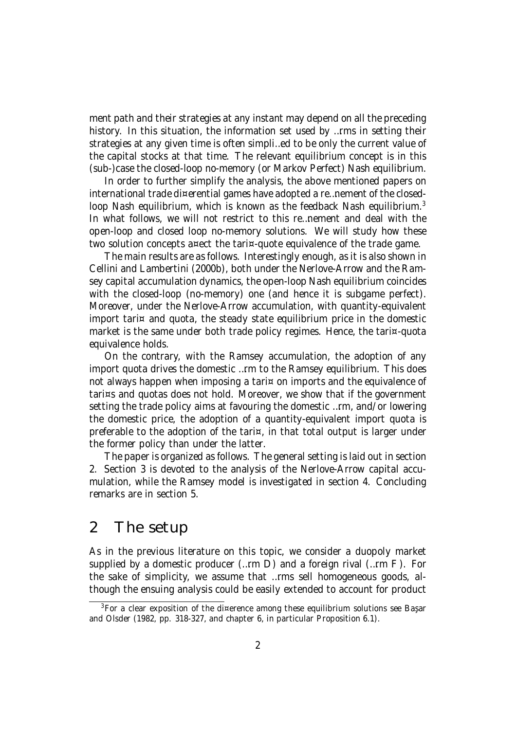ment path and their strategies at any instant may depend on all the preceding history. In this situation, the information set used by …rms in setting their strategies at any given time is often simpli…ed to be only the current value of the capital stocks at that time. The relevant equilibrium concept is in this (sub-)case the closed-loop no-memory (or Markov Perfect) Nash equilibrium.

In order to further simplify the analysis, the above mentioned papers on international trade di¤erential games have adopted a re…nement of the closedloop Nash equilibrium, which is known as the feedback Nash equilibrium.<sup>3</sup> In what follows, we will not restrict to this re…nement and deal with the open-loop and closed loop no-memory solutions. We will study how these two solution concepts a¤ect the tari¤-quote equivalence of the trade game.

The main results are as follows. Interestingly enough, as it is also shown in Cellini and Lambertini (2000b), both under the Nerlove-Arrow and the Ramsey capital accumulation dynamics, the open-loop Nash equilibrium coincides with the closed-loop (no-memory) one (and hence it is subgame perfect). Moreover, under the Nerlove-Arrow accumulation, with quantity-equivalent import tari $\alpha$  and quota, the steady state equilibrium price in the domestic market is the same under both trade policy regimes. Hence, the tari¤-quota equivalence holds.

On the contrary, with the Ramsey accumulation, the adoption of any import quota drives the domestic …rm to the Ramsey equilibrium. This does not always happen when imposing a tari¤ on imports and the equivalence of tari¤s and quotas does not hold. Moreover, we show that if the government setting the trade policy aims at favouring the domestic …rm, and/or lowering the domestic price, the adoption of a quantity-equivalent import quota is preferable to the adoption of the tari¤, in that total output is larger under the former policy than under the latter.

The paper is organized as follows. The general setting is laid out in section 2. Section 3 is devoted to the analysis of the Nerlove-Arrow capital accumulation, while the Ramsey model is investigated in section 4. Concluding remarks are in section 5.

#### 2 The setup

As in the previous literature on this topic, we consider a duopoly market supplied by a domestic producer (…rm D) and a foreign rival (…rm F). For the sake of simplicity, we assume that …rms sell homogeneous goods, although the ensuing analysis could be easily extended to account for product

 $3$ For a clear exposition of the di¤erence among these equilibrium solutions see Başar and Olsder (1982, pp. 318-327, and chapter 6, in particular Proposition 6.1).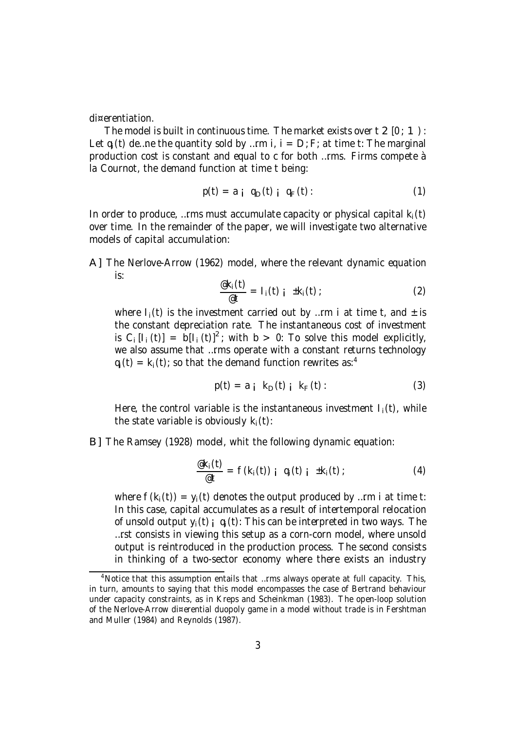di¤erentiation.

The model is built in continuous time. The market exists over  $t \geq 0$  : 1): Let  $q_i(t)$  de ... ne the quantity sold by ... rm i,  $i = D$ ; F; at time t: The marginal production cost is constant and equal to c for both …rms. Firms compete à la Cournot, the demand function at time t being:

$$
p(t) = a_i q_D(t) i q_F(t): \qquad (1)
$$

In order to produce, ... rms must accumulate capacity or physical capital  $k_i(t)$ over time. In the remainder of the paper, we will investigate two alternative models of capital accumulation:

A] The Nerlove-Arrow (1962) model, where the relevant dynamic equation is:

$$
\frac{\mathscr{E}_{k_i}(t)}{\mathscr{E}_{t}} = I_i(t) \quad i \quad \pm k_i(t) \tag{2}
$$

where  $I_i(t)$  is the investment carried out by ... rm i at time t, and  $\pm$  is the constant depreciation rate. The instantaneous cost of investment is C<sub>i</sub> [I<sub>i</sub> (t)] =  $b[I_i(t)]^2$ ; with b > 0: To solve this model explicitly, we also assume that …rms operate with a constant returns technology  $q_i(t) = k_i(t)$ ; so that the demand function rewrites as:<sup>4</sup>

$$
p(t) = a_i k_D(t) i k_F(t)
$$
 (3)

Here, the control variable is the instantaneous investment  $I_i(t)$ , while the state variable is obviously  $k_i(t)$ :

B] The Ramsey (1928) model, whit the following dynamic equation:

$$
\frac{\mathscr{a}_{k_i}(t)}{\mathscr{a}_t} = f(k_i(t)) \mathbin{\underset{\text{!}}{+}} q_i(t) \mathbin{\underset{\text{!}}{+}} \pm k_i(t) \tag{4}
$$

where  $f(k_i(t)) = y_i(t)$  denotes the output produced by ... rm i at time t: In this case, capital accumulates as a result of intertemporal relocation of unsold output  $y_i(t)$ ;  $q_i(t)$ : This can be interpreted in two ways. The …rst consists in viewing this setup as a corn-corn model, where unsold output is reintroduced in the production process. The second consists in thinking of a two-sector economy where there exists an industry

<sup>&</sup>lt;sup>4</sup>Notice that this assumption entails that …rms always operate at full capacity. This, in turn, amounts to saying that this model encompasses the case of Bertrand behaviour under capacity constraints, as in Kreps and Scheinkman (1983). The open-loop solution of the Nerlove-Arrow di¤erential duopoly game in a model without trade is in Fershtman and Muller (1984) and Reynolds (1987).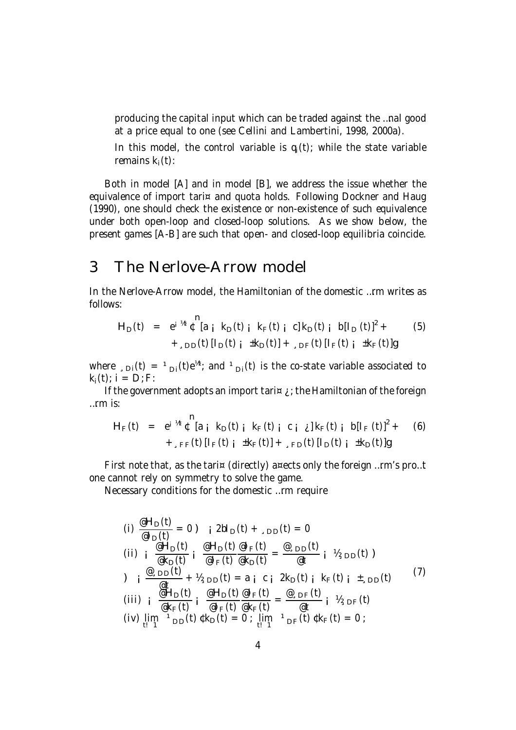producing the capital input which can be traded against the …nal good at a price equal to one (see Cellini and Lambertini, 1998, 2000a).

In this model, the control variable is  $q_i(t)$ ; while the state variable remains  $k_i(t)$ :

Both in model [A] and in model [B], we address the issue whether the equivalence of import tari¤ and quota holds. Following Dockner and Haug (1990), one should check the existence or non-existence of such equivalence under both open-loop and closed-loop solutions. As we show below, the present games [A-B] are such that open- and closed-loop equilibria coincide.

### 3 The Nerlove-Arrow model

 $\sim$ 

In the Nerlove-Arrow model, the Hamiltonian of the domestic …rm writes as follows:

$$
H_{D}(t) = e^{i \pi t} \int_{-L}^{L} [a_{i} k_{D}(t) i k_{F}(t) i c] k_{D}(t) i b [l_{D}(t)]^{2} + (5) + (5) I_{D}(t) [l_{D}(t) i k_{D}(t)] + (5) I_{F}(t) [l_{F}(t) i k_{F}(t)]g
$$

where  $\Box_{\textrm{Di}}(t)$  =  $\Box_{\textrm{Di}}(t)$ e<sup>½t</sup>; and  $\Box_{\textrm{Di}}(t)$  is the co-state variable associated to  $k_i(t)$ ;  $i = D$ ; F:

If the government adopts an import tari $\alpha$  *i* the Hamiltonian of the foreign …rm is:

$$
H_F(t) = e^{i \pi t} \int_{-s}^{t} [a_i k_D(t) i k_F(t) i c_i \] k_F(t) i b [l_F(t)]^2 + (6) + \int_{s}^{t} [l_F(t) i k_F(t)] + k_F(t) [l_F(t) i k_F(t)]
$$

First note that, as the tari¤ (directly) a¤ects only the foreign …rm's pro…t one cannot rely on symmetry to solve the game.

Necessary conditions for the domestic …rm require

(i) 
$$
\frac{\mathscr{C}H_D(t)}{\mathscr{C}I_D(t)} = 0
$$
) i  $2bl_D(t) + \mathscr{D}D(t) = 0$   
\n(ii) i  $\frac{\mathscr{C}H_D(t)}{\mathscr{C}k_D(t)}$  i  $\frac{\mathscr{C}H_D(t)}{\mathscr{C}I_F(t)}$   $\frac{\mathscr{C}H_D(t)}{\mathscr{C}k_D(t)}$  =  $\frac{\mathscr{C} \mathscr{D}D(t)}{\mathscr{C}t}$  i  $\mathscr{V}_{\mathscr{D}D}(t)$ )  
\n) i  $\frac{\mathscr{C} \mathscr{D}D(t)}{\mathscr{C}t} + \mathscr{V}_{\mathscr{D}D}(t) = a_i c_i 2k_D(t)$  i  $k_F(t)$  i  $\mathscr{L}_{\mathscr{D}D}(t)$   
\n(iii) i  $\frac{\mathscr{C}H_D(t)}{\mathscr{C}k_F(t)}$  i  $\frac{\mathscr{C}H_D(t)}{\mathscr{C}l_F(t)}$   $\frac{\mathscr{C}I_F(t)}{\mathscr{C}k_F(t)}$  =  $\frac{\mathscr{C} \mathscr{D}F(t)}{\mathscr{C}t}$  i  $\mathscr{V}_{\mathscr{D}F}(t)$   
\n(iv)  $\lim_{t \to 1} \mathscr{V}_{\mathscr{D}D}(t) \mathscr{C}k_D(t) = 0$ ;  $\lim_{t \to 1} \mathscr{V}_{\mathscr{D}F}(t) \mathscr{Ck_F}(t) = 0$ ;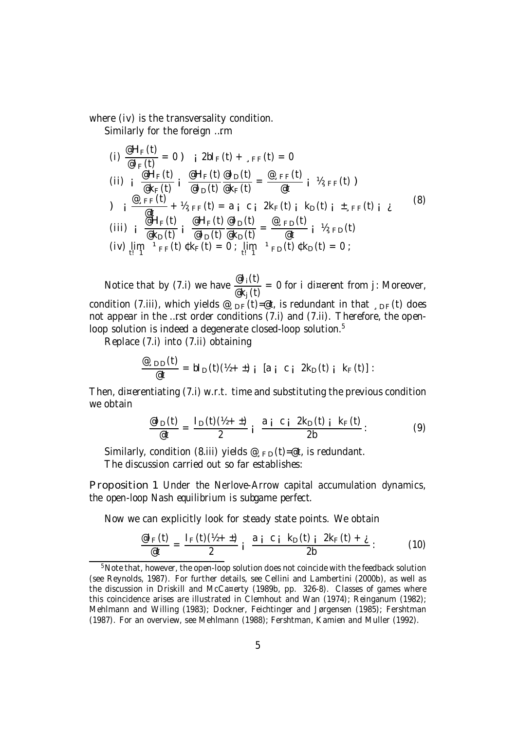where (iv) is the transversality condition.

Similarly for the foreign …rm

(i) 
$$
\frac{eH_F(t)}{eI_F(t)} = 0 \quad \text{i} \quad 2bI_F(t) + \,_{\text{sFF}}(t) = 0
$$
\n(ii) 
$$
i \frac{eH_F(t)}{eK_F(t)} i \frac{eH_F(t)}{eI_D(t)} \frac{eI_D(t)}{eK_F(t)} = \frac{e_{\text{sFF}}(t)}{et} i \quad \frac{W_{\text{sFF}}(t)}{W_{\text{sFF}}(t)}.
$$
\n(iii) 
$$
i \frac{e_{\text{sFF}}(t)}{eH_F(t)} + \frac{W_{\text{sFF}}(t)}{eH_F(t)} = a_i \quad c_i \quad 2k_F(t) \quad \text{i} \quad k_D(t) \quad \text{i} \quad t_{\text{sFF}}(t) \quad \text{i}
$$
\n(iii) 
$$
i \frac{eH_F(t)}{eK_D(t)} i \frac{eH_F(t)}{eI_D(t)} \frac{eI_D(t)}{eK_D(t)} = \frac{e_{\text{sFD}}(t)}{et} \quad \text{i} \quad \frac{W_{\text{sFD}}(t)}{et}.
$$
\n(iv) 
$$
\lim_{t \to 1} \frac{1}{t} \cdot \text{F}_F(t) \cdot k_F(t) = 0 \quad \text{if} \quad \frac{1}{t} \cdot \text{F}_D(t) \cdot k_D(t) = 0;
$$

Notice that by (7.i) we have  $\frac{\mathscr{C}I_i(t)}{\mathscr{C}I_i(t)}$ @k<sup>j</sup> (t)  $= 0$  for i di¤erent from j: Moreover, condition (7.iii), which yields  $\mathcal{Q}_{\text{SDF}}(t) = \mathcal{Q}t$ , is redundant in that  $_{\text{SDF}}(t)$  does not appear in the …rst order conditions (7.i) and (7.ii). Therefore, the openloop solution is indeed a degenerate closed-loop solution.<sup>5</sup>

Replace (7.i) into (7.ii) obtaining

$$
\frac{\mathscr{Q}_{\text{D}}(t)}{\mathscr{Q}t} = bl_{D}(t)(\mathscr{U} + \pm) i [a i c i 2k_{D}(t) i k_{F}(t) ] :
$$

Then, di¤erentiating (7.i) w.r.t. time and substituting the previous condition we obtain

$$
\frac{\mathscr{Q}I_{\text{D}}(t)}{\mathscr{Q}t} = \frac{I_{\text{D}}(t)(\mathscr{U} + \pm)}{2} i \frac{a_i c_i 2k_{\text{D}}(t)}{2b}.
$$
 (9)

Similarly, condition (8.iii) yields  $\mathcal{Q}_{F,D}(t) = \mathcal{Q}t$ , is redundant. The discussion carried out so far establishes:

Proposition 1 Under the Nerlove-Arrow capital accumulation dynamics, the open-loop Nash equilibrium is subgame perfect.

Now we can explicitly look for steady state points. We obtain

$$
\frac{\text{e1}_{F}(t)}{\text{e}t} = \frac{I_{F}(t)(h + t)}{2} i \frac{a i c i k_{D}(t) i 2k_{F}(t) + i}{2b}.
$$
 (10)

<sup>&</sup>lt;sup>5</sup>Note that, however, the open-loop solution does not coincide with the feedback solution (see Reynolds, 1987). For further details, see Cellini and Lambertini (2000b), as well as the discussion in Driskill and McCa¤erty (1989b, pp. 326-8). Classes of games where this coincidence arises are illustrated in Clemhout and Wan (1974); Reinganum (1982); Mehlmann and Willing (1983); Dockner, Feichtinger and Jørgensen (1985); Fershtman (1987). For an overview, see Mehlmann (1988); Fershtman, Kamien and Muller (1992).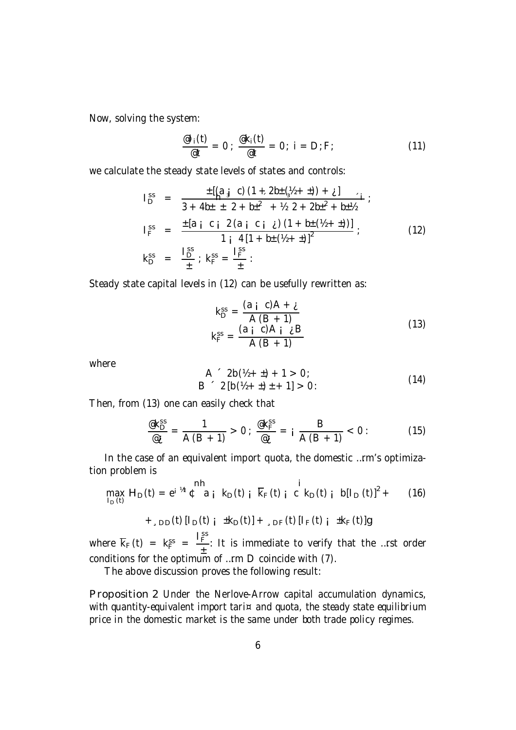Now, solving the system:

$$
\frac{\mathscr{Q}I_i(t)}{\mathscr{Q}t} = 0 \; ; \; \frac{\mathscr{Q}k_i(t)}{\mathscr{Q}t} = 0 \; ; \; i = D; F; \tag{11}
$$

we calculate the steady state levels of states and controls:

$$
I_{D}^{ss} = \frac{\pm \left[ (a_{\frac{1}{2}} c) (1 + 2b_{\frac{1}{2}} (b_{\frac{1}{2}} + \pm)) + \lambda \right]}{3 + 4b_{\frac{1}{2}} \pm 2 + b_{\frac{1}{2}}^2 + \frac{1}{2} \pm 2 + 2b_{\frac{1}{2}}^2 + b_{\frac{1}{2}}^2};
$$
  
\n
$$
I_{F}^{ss} = \frac{\pm \left[ a_{\frac{1}{2}} c_{\frac{1}{2}} 2 (a_{\frac{1}{2}} c_{\frac{1}{2}} \lambda) (1 + b_{\frac{1}{2}} (b_{\frac{1}{2}} + \pm)) \right]}{1 + \left[ 4(1 + b_{\frac{1}{2}} (b_{\frac{1}{2}} + \pm)) \right]^2};
$$
  
\n
$$
K_{D}^{ss} = \frac{I_{D}^{ss}}{\pm} ; K_{F}^{ss} = \frac{I_{F}^{ss}}{\pm} :
$$
 (12)

Steady state capital levels in (12) can be usefully rewritten as:

$$
k_{D}^{ss} = \frac{(a_{i} \ c)A + \underline{i}}{A (B + 1)}
$$
  

$$
k_{F}^{ss} = \frac{(a_{i} \ c)A_{i} \ \underline{i} B}{A (B + 1)}
$$
 (13)

where

$$
A^2 2b(\frac{1}{2} + \frac{1}{2}) + 1 > 0;
$$
  
\n
$$
B^2 [b(\frac{1}{2} + \frac{1}{2}) + 1] > 0:
$$
\n(14)

Then, from (13) one can easily check that

$$
\frac{\mathscr{Q}k_{\rm D}^{\rm ss}}{\mathscr{Q}_{\dot{\mathcal{L}}}} = \frac{1}{A(B+1)} > 0 \; ; \; \frac{\mathscr{Q}k_{\rm F}^{\rm ss}}{\mathscr{Q}_{\dot{\mathcal{L}}}} = i \; \frac{B}{A(B+1)} < 0 \; : \tag{15}
$$

In the case of an equivalent import quota, the domestic …rm's optimization problem is  $\overline{a}$  $\sim$ 

$$
\max_{I_D(t)} H_D(t) = e^{i \pi t} \int_0^{\pi} a_i k_D(t) i \overline{k}_F(t) i c k_D(t) i b [I_D(t)]^2 + (16)
$$
  
+<sub>1D</sub>D(t) [I\_D(t) i ±k\_D(t)] + <sub>1DF</sub>(t) [I\_F(t) i ±k\_F(t)]g

where  $\overline{k}_F(t) = k_F^{ss}$  = I ss F ± : It is immediate to verify that the …rst order conditions for the optimum of ...rm  $D$  coincide with  $(7)$ .

The above discussion proves the following result:

Proposition 2 Under the Nerlove-Arrow capital accumulation dynamics, with quantity-equivalent import tari¤ and quota, the steady state equilibrium price in the domestic market is the same under both trade policy regimes.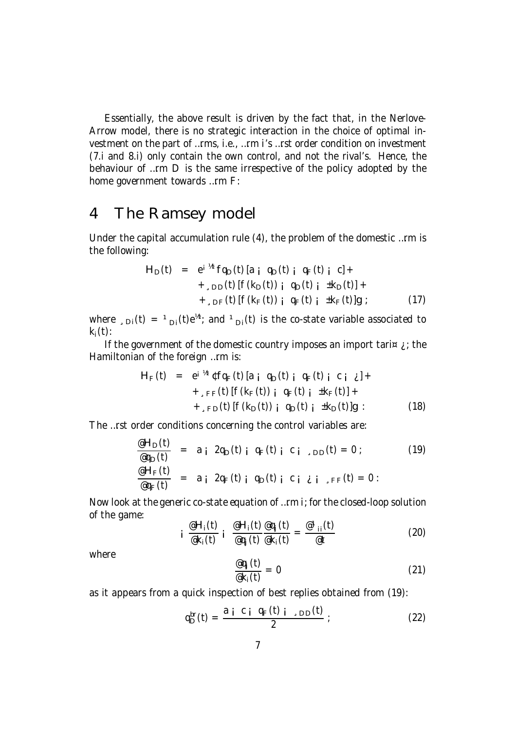Essentially, the above result is driven by the fact that, in the Nerlove-Arrow model, there is no strategic interaction in the choice of optimal investment on the part of …rms, i.e., …rm i's …rst order condition on investment (7.i and 8.i) only contain the own control, and not the rival's. Hence, the behaviour of …rm D is the same irrespective of the policy adopted by the home government towards …rm F:

#### 4 The Ramsey model

Under the capital accumulation rule (4), the problem of the domestic …rm is the following:

$$
H_{D}(t) = e^{i \pi t} f q_{D}(t) [a_{i} q_{D}(t) i q_{F}(t) i c] + \n+_{D} D(t) [f(k_{D}(t)) i q_{D}(t) i t k_{D}(t)] + \n+_{D} F(t) [f(k_{F}(t)) i q_{F}(t) i t k_{F}(t)]g ; \qquad (17)
$$

where  $\Box_{\textrm{Di}}(t)$  =  $\Box_{\textrm{Di}}(t)$ e<sup>½t</sup>; and  $\Box_{\textrm{Di}}(t)$  is the co-state variable associated to  $k_i(t)$ :

If the government of the domestic country imposes an import tari $\alpha$  is the Hamiltonian of the foreign …rm is:

$$
H_F(t) = e^{i \pi t} t f q_F(t) [a_i q_D(t) i q_F(t) i c_i \lambda] + \sum_{s \in F} f(t) [f(k_F(t)) i q_F(t) i t k_F(t)] + \sum_{s \in D} f(t) [f(k_D(t)) i q_D(t) i t k_D(t)]g :
$$
 (18)

The …rst order conditions concerning the control variables are:

$$
\frac{eH_D(t)}{e q_D(t)} = a_i 2q_D(t) i q_F(t) i c_i_{D D}(t) = 0; \qquad (19)
$$
\n
$$
\frac{eH_F(t)}{e q_F(t)} = a_i 2q_F(t) i q_D(t) i c_i i_{F}F(t) = 0:
$$

Now look at the generic co-state equation of …rm i; for the closed-loop solution of the game:

$$
i \frac{\mathscr{E}H_i(t)}{\mathscr{E}_k(t)} i \frac{\mathscr{E}H_i(t)}{\mathscr{E}_{q_j}(t)} \frac{\mathscr{E}_{q_j}(t)}{\mathscr{E}_k(t)} = \frac{\mathscr{E}^1_{ii}(t)}{\mathscr{E}_t}
$$
 (20)

where

$$
\frac{\text{eq}_{j}(t)}{\text{ek}_{i}(t)} = 0 \tag{21}
$$

as it appears from a quick inspection of best replies obtained from (19):

$$
q_{\text{D}}^{\text{br}}(t) = \frac{a_i c_i q_{\text{F}}(t)}{2} ; \qquad (22)
$$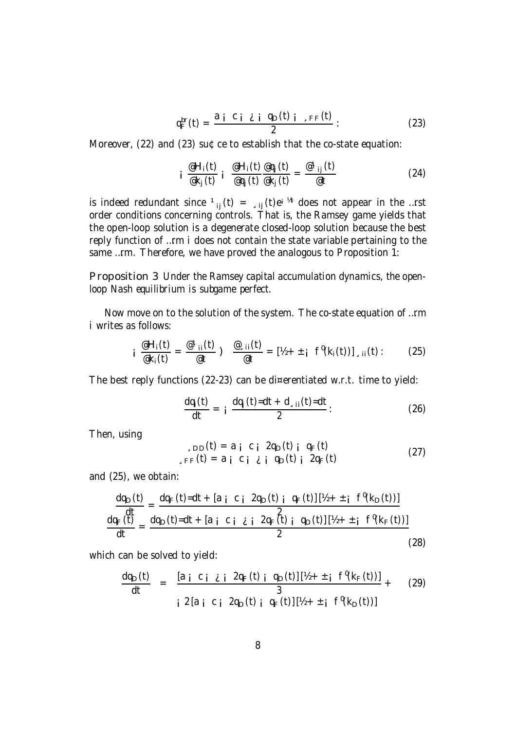$$
q_F^{\text{br}}(t) = \frac{a_i c_i \dot{\epsilon} i q_D(t) i \dot{\epsilon} F(t)}{2} : \qquad (23)
$$

Moreover, (22) and (23) su¢ce to establish that the co-state equation:

$$
i \frac{\mathscr{Q}H_i(t)}{\mathscr{Q}k_j(t)} i \frac{\mathscr{Q}H_i(t)}{\mathscr{Q}q_j(t)} \frac{\mathscr{Q}q_j(t)}{\mathscr{Q}k_j(t)} = \frac{\mathscr{Q}^1_{ij}(t)}{\mathscr{Q}t}
$$
 (24)

is indeed redundant since  $\mathbf{1}_{ij}(t) = \mathbf{1}_{sij}(t) e^{i \pi t}$  does not appear in the …rst order conditions concerning controls. That is, the Ramsey game yields that the open-loop solution is a degenerate closed-loop solution because the best reply function of …rm i does not contain the state variable pertaining to the same …rm. Therefore, we have proved the analogous to Proposition 1:

Proposition 3 Under the Ramsey capital accumulation dynamics, the openloop Nash equilibrium is subgame perfect.

Now move on to the solution of the system. The co-state equation of …rm i writes as follows:

$$
\mathsf{i}\;\;\frac{\mathsf{e}\mathsf{H}_{\mathsf{i}}(t)}{\mathsf{e}\mathsf{k}_{\mathsf{i}}(t)}=\frac{\mathsf{e}\,\mathsf{1}_{\mathsf{i}\mathsf{i}}(t)}{\mathsf{e}\,t}\;\mathsf{)}\;\;\frac{\mathsf{e}\,\mathsf{1}_{\mathsf{i}\mathsf{i}}(t)}{\mathsf{e}\,t}=[\mathsf{h}\,\mathsf{+}\,\mathsf{1}_{\mathsf{i}}\;\;\mathsf{f}^{\mathsf{0}}(\mathsf{k}_{\mathsf{i}}(t))\,]\,\mathsf{1}_{\mathsf{i}\mathsf{i}}(t):\qquad\qquad(25)
$$

The best reply functions (22-23) can be di¤erentiated w.r.t. time to yield:

$$
\frac{dq_i(t)}{dt} = i \frac{dq_j(t)=dt + d_{\text{d}}(t)=dt}{2}
$$
 (26)

Then, using

$$
\begin{array}{c}\n\text{SDD}(t) = a_i c_i 2q_D(t) i q_F(t) \\
\text{SFF}(t) = a_i c_i \lambda_i q_D(t) i 2q_F(t)\n\end{array} \tag{27}
$$

and (25), we obtain:

$$
\frac{dq_{D}(t)}{dt} = \frac{dq_{F}(t) - dt + [a_{i} c_{i} 2q_{D}(t)_{i} q_{F}(t)][\frac{y_{i} + t_{i} f^{0}(k_{D}(t))]}{2}}{dt} = \frac{dq_{D}(t) - dt + [a_{i} c_{i} \lambda_{i} 2q_{F}(t)_{i} q_{D}(t)][\frac{y_{i} + t_{i} f^{0}(k_{F}(t))]}{2}
$$
\n(28)

which can be solved to yield:

dqD(t) dt = [a ¡ c ¡ ¿ ¡ 2q<sup>F</sup> (t) ¡ qD(t)] [½ + ± ¡ f 0 (k<sup>F</sup> (t))] 3 + (29) ¡2 [a ¡ c ¡ 2qD(t) ¡ q<sup>F</sup> (t)] [½ + ± ¡ f 0 (kD(t))]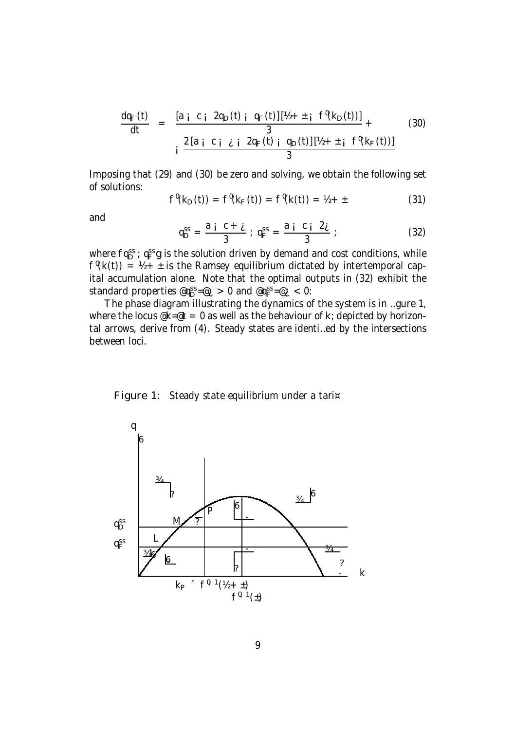$$
\frac{dq_F(t)}{dt} = \frac{[a_j c_j 2q_D(t) j q_F(t)][1/2 + i f'(k_D(t))]}{3} + (30)
$$
\n
$$
i \frac{2[a_j c_j \lambda_j q_F(t) j q_D(t)][1/2 + i f'(k_F(t))]}{3}
$$

Imposing that (29) and (30) be zero and solving, we obtain the following set of solutions:

$$
f^{\theta}(k_D(t)) = f^{\theta}(k_F(t)) = f^{\theta}(k(t)) = \frac{1}{2} + \pm
$$
 (31)

and

$$
q_{\text{D}}^{\text{ss}} = \frac{a_{\text{i}} c + \dot{c}}{3}; q_{\text{F}}^{\text{ss}} = \frac{a_{\text{i}} c_{\text{i}} 2\dot{c}}{3};
$$
 (32)

where  $f q_D^{\rm ss}$ ;  $q_F^{\rm ss}$ g is the solution driven by demand and cost conditions, while  $f^{\theta}(k(t)) = \frac{1}{2} + \pm$  is the Ramsey equilibrium dictated by intertemporal capital accumulation alone. Note that the optimal outputs in (32) exhibit the standard properties  $@q_{\text{D}}^{\text{ss}} = @_{\text{L}} > 0$  and  $@q_{\text{F}}^{\text{ss}} = @_{\text{L}} < 0$ :

The phase diagram illustrating the dynamics of the system is in …gure 1, where the locus  $\mathscr{R} = \mathscr{O}$  as well as the behaviour of k; depicted by horizontal arrows, derive from (4). Steady states are identi…ed by the intersections between loci.



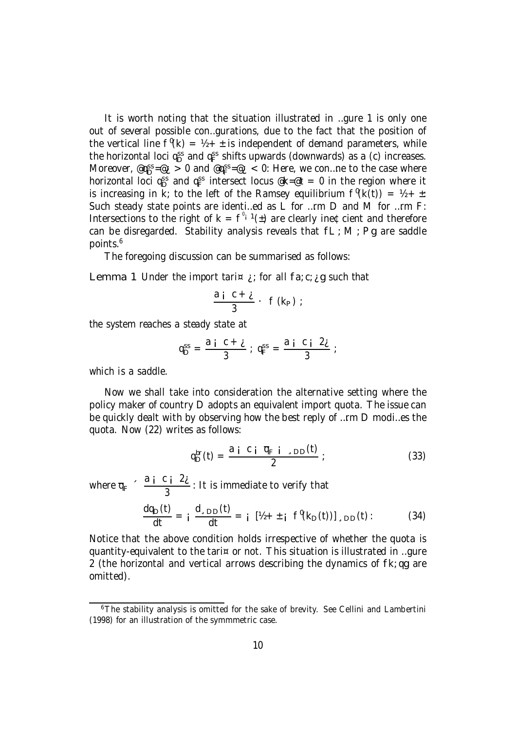It is worth noting that the situation illustrated in …gure 1 is only one out of several possible con…gurations, due to the fact that the position of the vertical line  $f^{\theta}(k) = \frac{1}{2} + \pm i s$  is independent of demand parameters, while the horizontal loci q<sup>ss</sup> and q<sup>ss</sup> shifts upwards (downwards) as a (c) increases. Moreover, @qss=@i > 0 and @qss=@i < 0: Here, we con...ne to the case where horizontal loci qss and qss intersect locus  $@{\sf k=}@t = 0$  in the region where it is increasing in k; to the left of the Ramsey equilibrium  $f^{\theta}(k(t)) = \frac{1}{2} + \pm 1$ Such steady state points are identi…ed as L for …rm D and M for …rm F: Intersections to the right of  $k = f^{\nu_i} (t)$  are clearly ine¢cient and therefore can be disregarded. Stability analysis reveals that  $fL$ ; M; Pg are saddle points. 6

The foregoing discussion can be summarised as follows:

Lemma 1 Under the import tari $\alpha$  *i*; for all fa; c; *i* g such that

$$
\frac{a i C + i}{3} \cdot f(k_P);
$$

the system reaches a steady state at

3

$$
q_{D}^{ss} = \frac{a_{i} c + \zeta}{3} ; q_{F}^{ss} = \frac{a_{i} c_{i} 2_{\zeta}}{3} ;
$$

which is a saddle.

Now we shall take into consideration the alternative setting where the policy maker of country D adopts an equivalent import quota. The issue can be quickly dealt with by observing how the best reply of …rm D modi…es the quota. Now (22) writes as follows:

$$
q_{D}^{br}(t) = \frac{a i C i \overline{q}_{F} i \cdot DD(t)}{2} ; \qquad (33)
$$

where  $\overline{q}_F$   $\leq \frac{a_i}{3} \frac{c_i}{3} \frac{2i_i}{3}$ 

$$
\frac{dq_{D}(t)}{dt} = i \frac{d_{.DD}(t)}{dt} = i [h + \pm i f^{0}(k_{D}(t))]_{.DD}(t): \qquad (34)
$$

Notice that the above condition holds irrespective of whether the quota is quantity-equivalent to the tari¤ or not. This situation is illustrated in …gure 2 (the horizontal and vertical arrows describing the dynamics of fk; qg are omitted).

: It is immediate to verify that

<sup>&</sup>lt;sup>6</sup>The stability analysis is omitted for the sake of brevity. See Cellini and Lambertini (1998) for an illustration of the symmmetric case.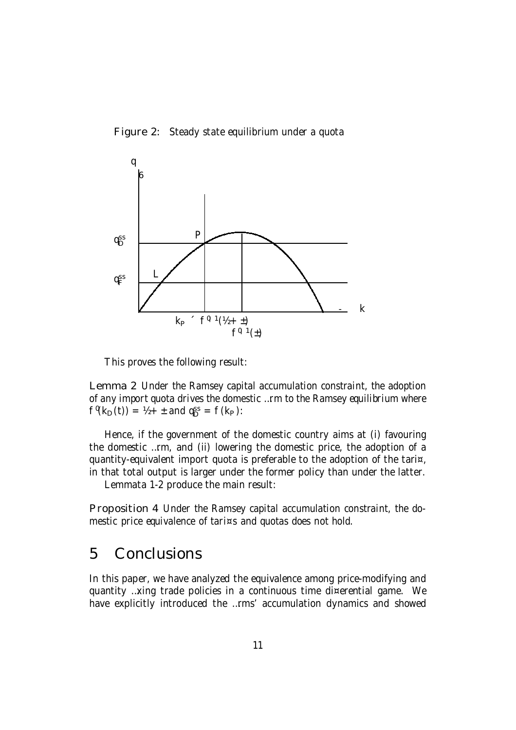



This proves the following result:

Lemma 2 Under the Ramsey capital accumulation constraint, the adoption of any import quota drives the domestic …rm to the Ramsey equilibrium where  $f'(k_D(t)) = 1/2 + 1$  and  $q_D^{ss} = f(k_P)$ :

Hence, if the government of the domestic country aims at (i) favouring the domestic …rm, and (ii) lowering the domestic price, the adoption of a quantity-equivalent import quota is preferable to the adoption of the tari¤, in that total output is larger under the former policy than under the latter.

Lemmata 1-2 produce the main result:

Proposition 4 Under the Ramsey capital accumulation constraint, the domestic price equivalence of tari¤s and quotas does not hold.

# 5 Conclusions

In this paper, we have analyzed the equivalence among price-modifying and quantity …xing trade policies in a continuous time di¤erential game. We have explicitly introduced the …rms' accumulation dynamics and showed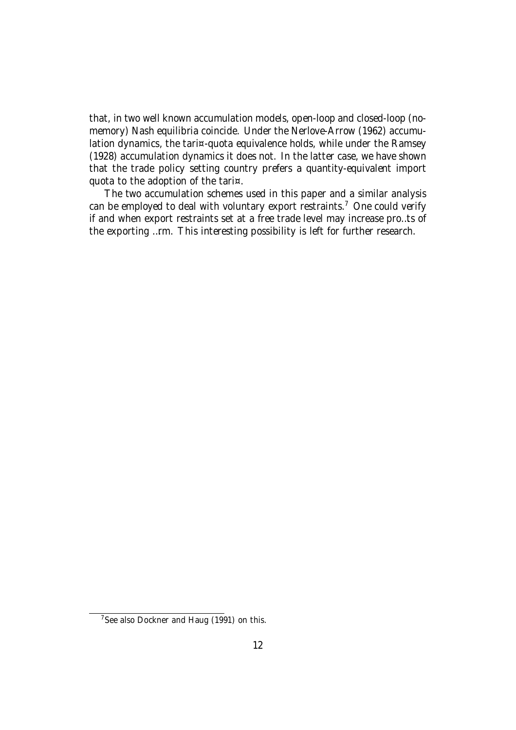that, in two well known accumulation models, open-loop and closed-loop (nomemory) Nash equilibria coincide. Under the Nerlove-Arrow (1962) accumulation dynamics, the tari¤-quota equivalence holds, while under the Ramsey (1928) accumulation dynamics it does not. In the latter case, we have shown that the trade policy setting country prefers a quantity-equivalent import quota to the adoption of the tari¤.

The two accumulation schemes used in this paper and a similar analysis can be employed to deal with voluntary export restraints.<sup>7</sup> One could verify if and when export restraints set at a free trade level may increase pro…ts of the exporting …rm. This interesting possibility is left for further research.

<sup>&</sup>lt;sup>7</sup>See also Dockner and Haug (1991) on this.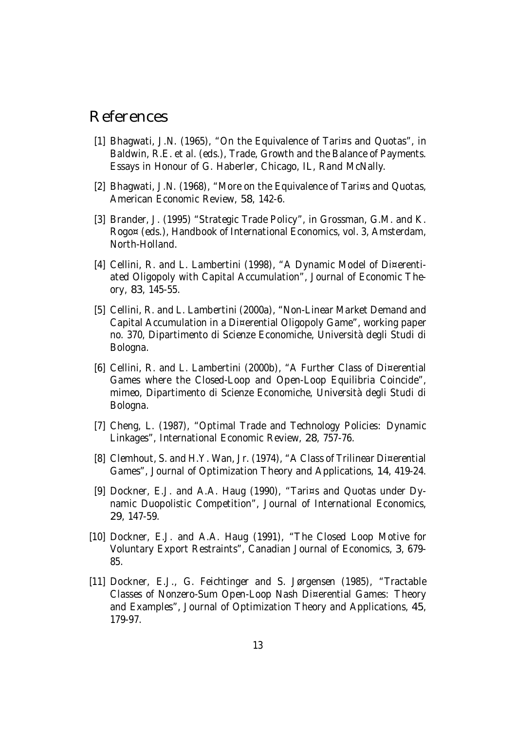#### References

- [1] Bhagwati, J.N. (1965), "On the Equivalence of Tari¤s and Quotas", in Baldwin, R.E. et al. (eds.), Trade, Growth and the Balance of Payments. Essays in Honour of G. Haberler, Chicago, IL, Rand McNally.
- [2] Bhagwati, J.N. (1968), "More on the Equivalence of Tari¤s and Quotas, American Economic Review, 58, 142-6.
- [3] Brander, J. (1995) "Strategic Trade Policy", in Grossman, G.M. and K. Rogo¤ (eds.), Handbook of International Economics, vol. 3, Amsterdam, North-Holland.
- [4] Cellini, R. and L. Lambertini (1998), "A Dynamic Model of Di¤erentiated Oligopoly with Capital Accumulation", Journal of Economic Theory, 83, 145-55.
- [5] Cellini, R. and L. Lambertini (2000a), "Non-Linear Market Demand and Capital Accumulation in a Di¤erential Oligopoly Game", working paper no. 370, Dipartimento di Scienze Economiche, Università degli Studi di Bologna.
- [6] Cellini, R. and L. Lambertini (2000b), "A Further Class of Di¤erential Games where the Closed-Loop and Open-Loop Equilibria Coincide", mimeo, Dipartimento di Scienze Economiche, Università degli Studi di Bologna.
- [7] Cheng, L. (1987), "Optimal Trade and Technology Policies: Dynamic Linkages", International Economic Review, 28, 757-76.
- [8] Clemhout, S. and H.Y. Wan, Jr. (1974), "A Class of Trilinear Di¤erential Games", Journal of Optimization Theory and Applications, 14, 419-24.
- [9] Dockner, E.J. and A.A. Haug (1990), "Tari¤s and Quotas under Dynamic Duopolistic Competition", Journal of International Economics, 29, 147-59.
- [10] Dockner, E.J. and A.A. Haug (1991), "The Closed Loop Motive for Voluntary Export Restraints", Canadian Journal of Economics, 3, 679- 85.
- [11] Dockner, E.J., G. Feichtinger and S. Jørgensen (1985), "Tractable Classes of Nonzero-Sum Open-Loop Nash Di¤erential Games: Theory and Examples", Journal of Optimization Theory and Applications, 45, 179-97.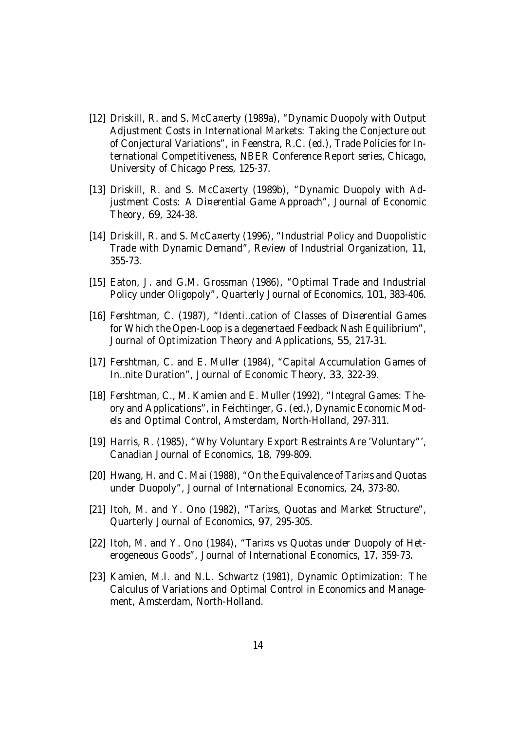- [12] Driskill, R. and S. McCa¤erty (1989a), "Dynamic Duopoly with Output Adjustment Costs in International Markets: Taking the Conjecture out of Conjectural Variations", in Feenstra, R.C. (ed.), Trade Policies for International Competitiveness, NBER Conference Report series, Chicago, University of Chicago Press, 125-37.
- [13] Driskill, R. and S. McCa¤erty (1989b), "Dynamic Duopoly with Adjustment Costs: A Di¤erential Game Approach", Journal of Economic Theory, 69, 324-38.
- [14] Driskill, R. and S. McCa¤erty (1996), "Industrial Policy and Duopolistic Trade with Dynamic Demand", Review of Industrial Organization, 11, 355-73.
- [15] Eaton, J. and G.M. Grossman (1986), "Optimal Trade and Industrial Policy under Oligopoly", Quarterly Journal of Economics, 101, 383-406.
- [16] Fershtman, C. (1987), "Identi…cation of Classes of Di¤erential Games for Which the Open-Loop is a degenertaed Feedback Nash Equilibrium", Journal of Optimization Theory and Applications, 55, 217-31.
- [17] Fershtman, C. and E. Muller (1984), "Capital Accumulation Games of In…nite Duration", Journal of Economic Theory, 33, 322-39.
- [18] Fershtman, C., M. Kamien and E. Muller (1992), "Integral Games: Theory and Applications", in Feichtinger, G. (ed.), Dynamic Economic Models and Optimal Control, Amsterdam, North-Holland, 297-311.
- [19] Harris, R. (1985), "Why Voluntary Export Restraints Are 'Voluntary"', Canadian Journal of Economics, 18, 799-809.
- [20] Hwang, H. and C. Mai (1988), "On the Equivalence of Tari¤s and Quotas under Duopoly", Journal of International Economics, 24, 373-80.
- [21] Itoh, M. and Y. Ono (1982), "Tari¤s, Quotas and Market Structure", Quarterly Journal of Economics, 97, 295-305.
- [22] Itoh, M. and Y. Ono (1984), "Tari¤s vs Quotas under Duopoly of Heterogeneous Goods", Journal of International Economics, 17, 359-73.
- [23] Kamien, M.I. and N.L. Schwartz (1981), Dynamic Optimization: The Calculus of Variations and Optimal Control in Economics and Management, Amsterdam, North-Holland.